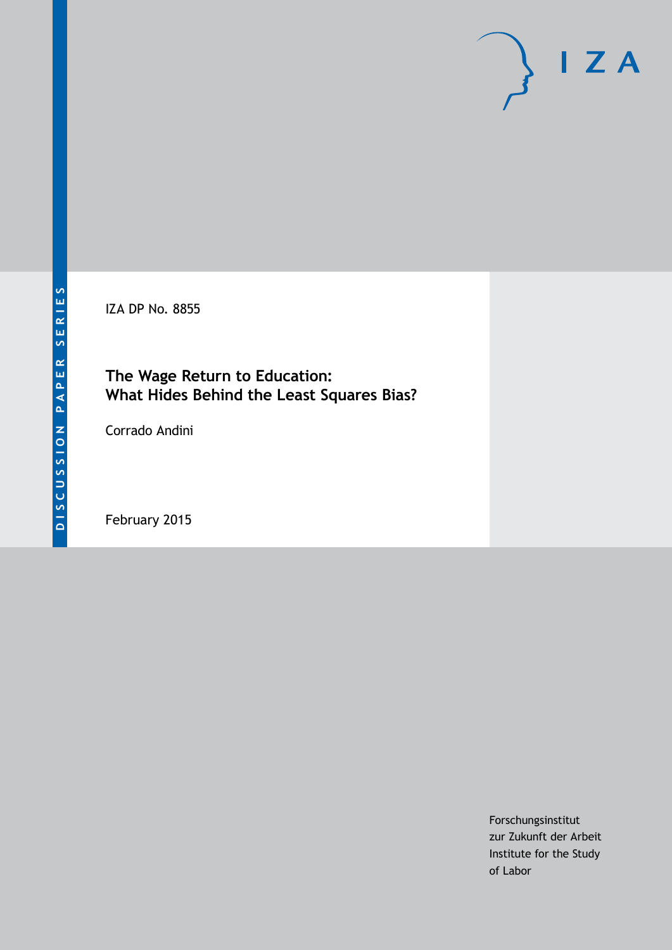IZA DP No. 8855

## **The Wage Return to Education: What Hides Behind the Least Squares Bias?**

Corrado Andini

February 2015

Forschungsinstitut zur Zukunft der Arbeit Institute for the Study of Labor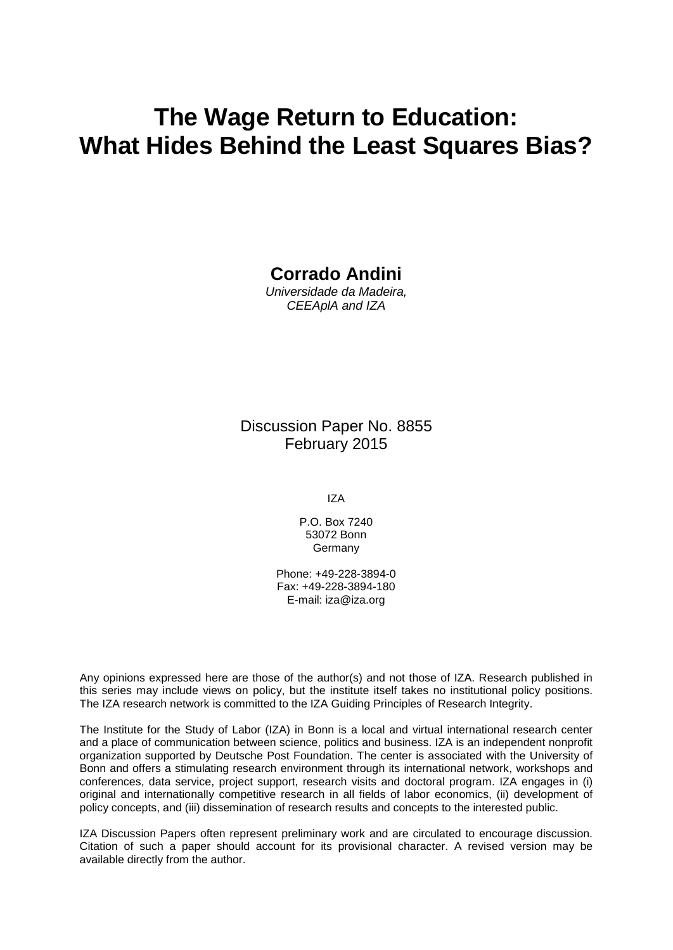# **The Wage Return to Education: What Hides Behind the Least Squares Bias?**

### **Corrado Andini**

*Universidade da Madeira, CEEAplA and IZA*

Discussion Paper No. 8855 February 2015

IZA

P.O. Box 7240 53072 Bonn Germany

Phone: +49-228-3894-0 Fax: +49-228-3894-180 E-mail: [iza@iza.org](mailto:iza@iza.org)

Any opinions expressed here are those of the author(s) and not those of IZA. Research published in this series may include views on policy, but the institute itself takes no institutional policy positions. The IZA research network is committed to the IZA Guiding Principles of Research Integrity.

The Institute for the Study of Labor (IZA) in Bonn is a local and virtual international research center and a place of communication between science, politics and business. IZA is an independent nonprofit organization supported by Deutsche Post Foundation. The center is associated with the University of Bonn and offers a stimulating research environment through its international network, workshops and conferences, data service, project support, research visits and doctoral program. IZA engages in (i) original and internationally competitive research in all fields of labor economics, (ii) development of policy concepts, and (iii) dissemination of research results and concepts to the interested public.

<span id="page-1-0"></span>IZA Discussion Papers often represent preliminary work and are circulated to encourage discussion. Citation of such a paper should account for its provisional character. A revised version may be available directly from the author.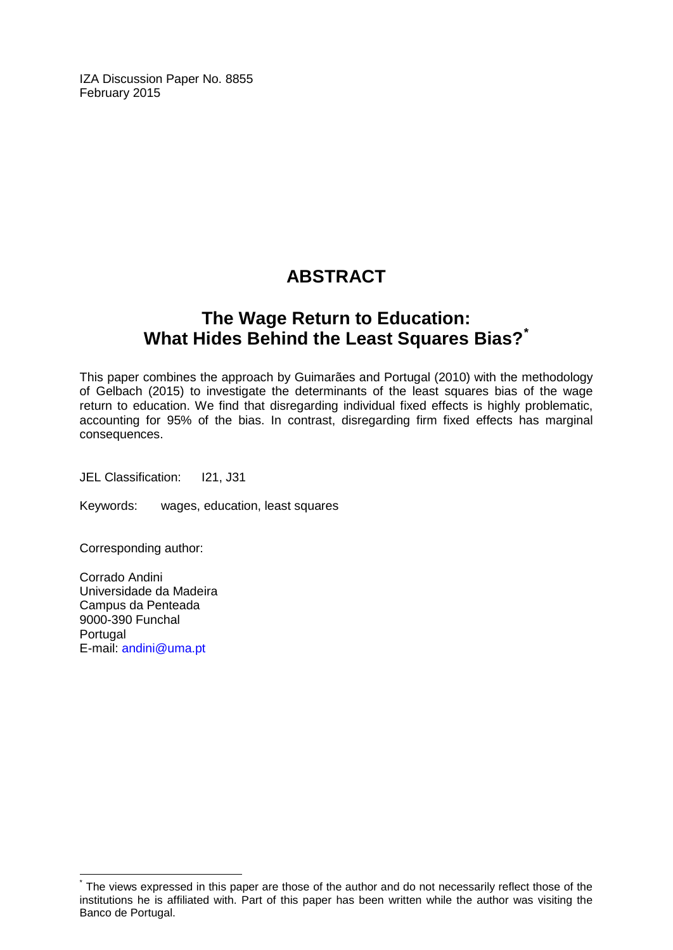IZA Discussion Paper No. 8855 February 2015

# **ABSTRACT**

# **The Wage Return to Education: What Hides Behind the Least Squares Bias?[\\*](#page-1-0)**

This paper combines the approach by Guimarães and Portugal (2010) with the methodology of Gelbach (2015) to investigate the determinants of the least squares bias of the wage return to education. We find that disregarding individual fixed effects is highly problematic, accounting for 95% of the bias. In contrast, disregarding firm fixed effects has marginal consequences.

JEL Classification: I21, J31

Keywords: wages, education, least squares

Corresponding author:

Corrado Andini Universidade da Madeira Campus da Penteada 9000-390 Funchal Portugal E-mail: [andini@uma.pt](mailto:andini@uma.pt)

The views expressed in this paper are those of the author and do not necessarily reflect those of the institutions he is affiliated with. Part of this paper has been written while the author was visiting the Banco de Portugal.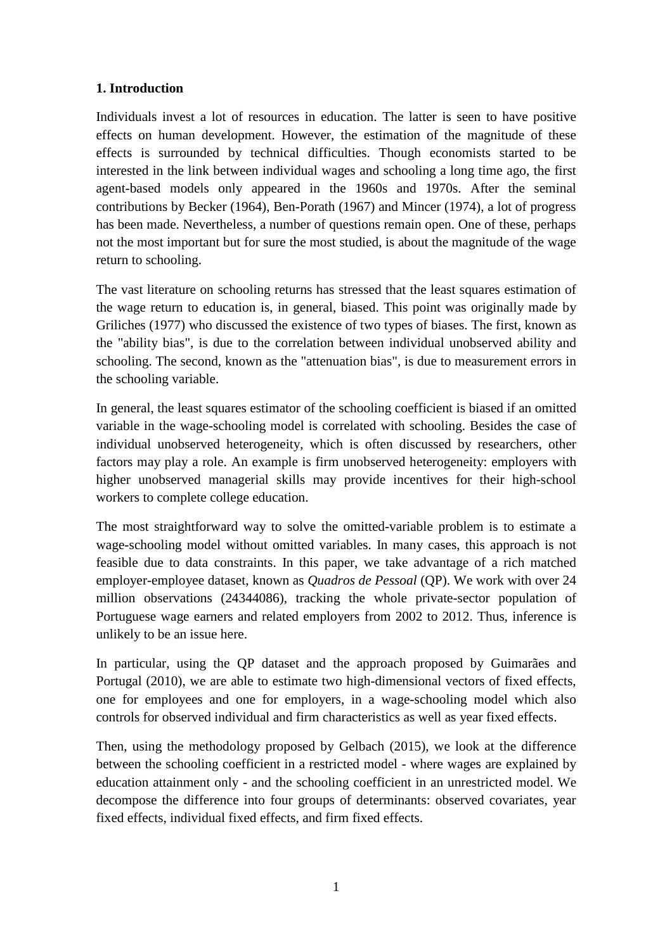#### **1. Introduction**

Individuals invest a lot of resources in education. The latter is seen to have positive effects on human development. However, the estimation of the magnitude of these effects is surrounded by technical difficulties. Though economists started to be interested in the link between individual wages and schooling a long time ago, the first agent-based models only appeared in the 1960s and 1970s. After the seminal contributions by Becker (1964), Ben-Porath (1967) and Mincer (1974), a lot of progress has been made. Nevertheless, a number of questions remain open. One of these, perhaps not the most important but for sure the most studied, is about the magnitude of the wage return to schooling.

The vast literature on schooling returns has stressed that the least squares estimation of the wage return to education is, in general, biased. This point was originally made by Griliches (1977) who discussed the existence of two types of biases. The first, known as the "ability bias", is due to the correlation between individual unobserved ability and schooling. The second, known as the "attenuation bias", is due to measurement errors in the schooling variable.

In general, the least squares estimator of the schooling coefficient is biased if an omitted variable in the wage-schooling model is correlated with schooling. Besides the case of individual unobserved heterogeneity, which is often discussed by researchers, other factors may play a role. An example is firm unobserved heterogeneity: employers with higher unobserved managerial skills may provide incentives for their high-school workers to complete college education.

The most straightforward way to solve the omitted-variable problem is to estimate a wage-schooling model without omitted variables. In many cases, this approach is not feasible due to data constraints. In this paper, we take advantage of a rich matched employer-employee dataset, known as *Quadros de Pessoal* (QP). We work with over 24 million observations (24344086), tracking the whole private-sector population of Portuguese wage earners and related employers from 2002 to 2012. Thus, inference is unlikely to be an issue here.

In particular, using the QP dataset and the approach proposed by Guimarães and Portugal (2010), we are able to estimate two high-dimensional vectors of fixed effects, one for employees and one for employers, in a wage-schooling model which also controls for observed individual and firm characteristics as well as year fixed effects.

Then, using the methodology proposed by Gelbach (2015), we look at the difference between the schooling coefficient in a restricted model - where wages are explained by education attainment only - and the schooling coefficient in an unrestricted model. We decompose the difference into four groups of determinants: observed covariates, year fixed effects, individual fixed effects, and firm fixed effects.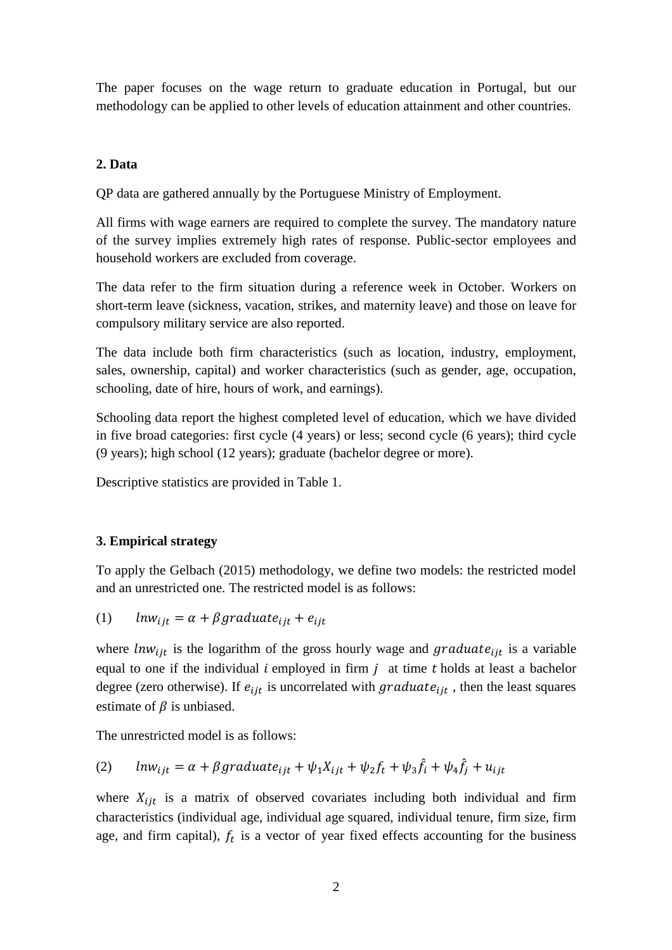The paper focuses on the wage return to graduate education in Portugal, but our methodology can be applied to other levels of education attainment and other countries.

### **2. Data**

QP data are gathered annually by the Portuguese Ministry of Employment.

All firms with wage earners are required to complete the survey. The mandatory nature of the survey implies extremely high rates of response. Public-sector employees and household workers are excluded from coverage.

The data refer to the firm situation during a reference week in October. Workers on short-term leave (sickness, vacation, strikes, and maternity leave) and those on leave for compulsory military service are also reported.

The data include both firm characteristics (such as location, industry, employment, sales, ownership, capital) and worker characteristics (such as gender, age, occupation, schooling, date of hire, hours of work, and earnings).

Schooling data report the highest completed level of education, which we have divided in five broad categories: first cycle (4 years) or less; second cycle (6 years); third cycle (9 years); high school (12 years); graduate (bachelor degree or more).

Descriptive statistics are provided in Table 1.

### **3. Empirical strategy**

To apply the Gelbach (2015) methodology, we define two models: the restricted model and an unrestricted one. The restricted model is as follows:

(1) 
$$
lnw_{ijt} = \alpha + \beta \text{graduate}_{ijt} + e_{ijt}
$$

where  $ln w_{ijt}$  is the logarithm of the gross hourly wage and graduate<sub>ljt</sub> is a variable equal to one if the individual  $i$  employed in firm  $j$  at time  $t$  holds at least a bachelor degree (zero otherwise). If  $e_{ijt}$  is uncorrelated with graduat $e_{ijt}$ , then the least squares estimate of  $\beta$  is unbiased.

The unrestricted model is as follows:

(2) 
$$
ln w_{ijt} = \alpha + \beta \text{graduate}_{ijt} + \psi_1 X_{ijt} + \psi_2 f_t + \psi_3 \hat{f}_i + \psi_4 \hat{f}_j + u_{ijt}
$$

where  $X_{i}$  is a matrix of observed covariates including both individual and firm characteristics (individual age, individual age squared, individual tenure, firm size, firm age, and firm capital),  $f_t$  is a vector of year fixed effects accounting for the business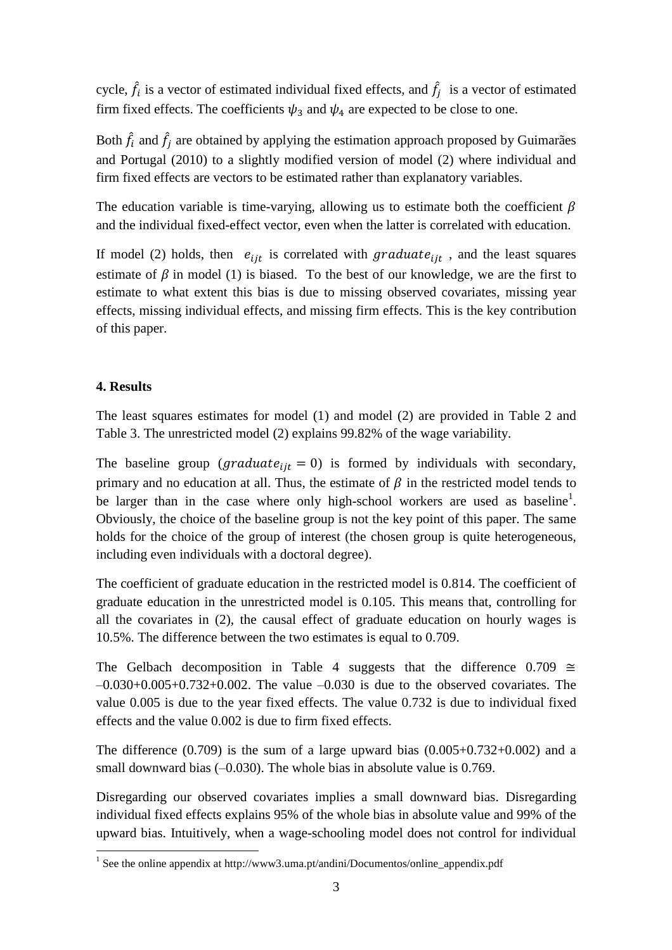cycle,  $\hat{f}_i$  is a vector of estimated individual fixed effects, and  $\hat{f}_j$  is a vector of estimated firm fixed effects. The coefficients  $\psi_3$  and  $\psi_4$  are expected to be close to one.

Both  $\hat{f}_i$  and  $\hat{f}_j$  are obtained by applying the estimation approach proposed by Guimarães and Portugal (2010) to a slightly modified version of model (2) where individual and firm fixed effects are vectors to be estimated rather than explanatory variables.

The education variable is time-varying, allowing us to estimate both the coefficient  $\beta$ and the individual fixed-effect vector, even when the latter is correlated with education.

If model (2) holds, then  $e_{ijt}$  is correlated with graduate<sub>lit</sub>, and the least squares estimate of  $\beta$  in model (1) is biased. To the best of our knowledge, we are the first to estimate to what extent this bias is due to missing observed covariates, missing year effects, missing individual effects, and missing firm effects. This is the key contribution of this paper.

#### **4. Results**

 $\overline{a}$ 

The least squares estimates for model (1) and model (2) are provided in Table 2 and Table 3. The unrestricted model (2) explains 99.82% of the wage variability.

The baseline group (*graduate<sub>it</sub>* = 0) is formed by individuals with secondary, primary and no education at all. Thus, the estimate of  $\beta$  in the restricted model tends to be larger than in the case where only high-school workers are used as baseline<sup>1</sup>. Obviously, the choice of the baseline group is not the key point of this paper. The same holds for the choice of the group of interest (the chosen group is quite heterogeneous, including even individuals with a doctoral degree).

The coefficient of graduate education in the restricted model is 0.814. The coefficient of graduate education in the unrestricted model is 0.105. This means that, controlling for all the covariates in (2), the causal effect of graduate education on hourly wages is 10.5%. The difference between the two estimates is equal to 0.709.

The Gelbach decomposition in Table 4 suggests that the difference 0.709  $\cong$  $-0.030+0.005+0.732+0.002$ . The value  $-0.030$  is due to the observed covariates. The value 0.005 is due to the year fixed effects. The value 0.732 is due to individual fixed effects and the value 0.002 is due to firm fixed effects.

The difference  $(0.709)$  is the sum of a large upward bias  $(0.005+0.732+0.002)$  and a small downward bias  $(-0.030)$ . The whole bias in absolute value is 0.769.

Disregarding our observed covariates implies a small downward bias. Disregarding individual fixed effects explains 95% of the whole bias in absolute value and 99% of the upward bias. Intuitively, when a wage-schooling model does not control for individual

<sup>&</sup>lt;sup>1</sup> See the online appendix at http://www3.uma.pt/andini/Documentos/online\_appendix.pdf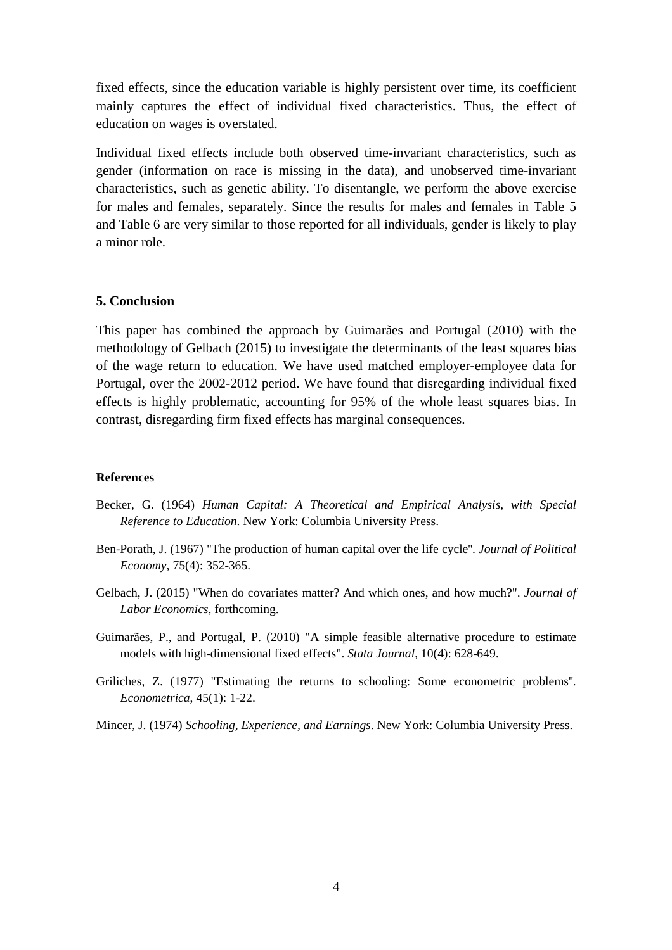fixed effects, since the education variable is highly persistent over time, its coefficient mainly captures the effect of individual fixed characteristics. Thus, the effect of education on wages is overstated.

Individual fixed effects include both observed time-invariant characteristics, such as gender (information on race is missing in the data), and unobserved time-invariant characteristics, such as genetic ability. To disentangle, we perform the above exercise for males and females, separately. Since the results for males and females in Table 5 and Table 6 are very similar to those reported for all individuals, gender is likely to play a minor role.

#### **5. Conclusion**

This paper has combined the approach by Guimarães and Portugal (2010) with the methodology of Gelbach (2015) to investigate the determinants of the least squares bias of the wage return to education. We have used matched employer-employee data for Portugal, over the 2002-2012 period. We have found that disregarding individual fixed effects is highly problematic, accounting for 95% of the whole least squares bias. In contrast, disregarding firm fixed effects has marginal consequences.

#### **References**

- Becker, G. (1964) *Human Capital: A Theoretical and Empirical Analysis, with Special Reference to Education*. New York: Columbia University Press.
- Ben-Porath, J. (1967) "The production of human capital over the life cycle''. *Journal of Political Economy*, 75(4): 352-365.
- Gelbach, J. (2015) "When do covariates matter? And which ones, and how much?". *Journal of Labor Economics*, forthcoming.
- Guimarães, P., and Portugal, P. (2010) "A simple feasible alternative procedure to estimate models with high-dimensional fixed effects". *Stata Journal*, 10(4): 628-649.
- Griliches, Z. (1977) "Estimating the returns to schooling: Some econometric problems''. *Econometrica*, 45(1): 1-22.
- Mincer, J. (1974) *Schooling, Experience, and Earnings*. New York: Columbia University Press.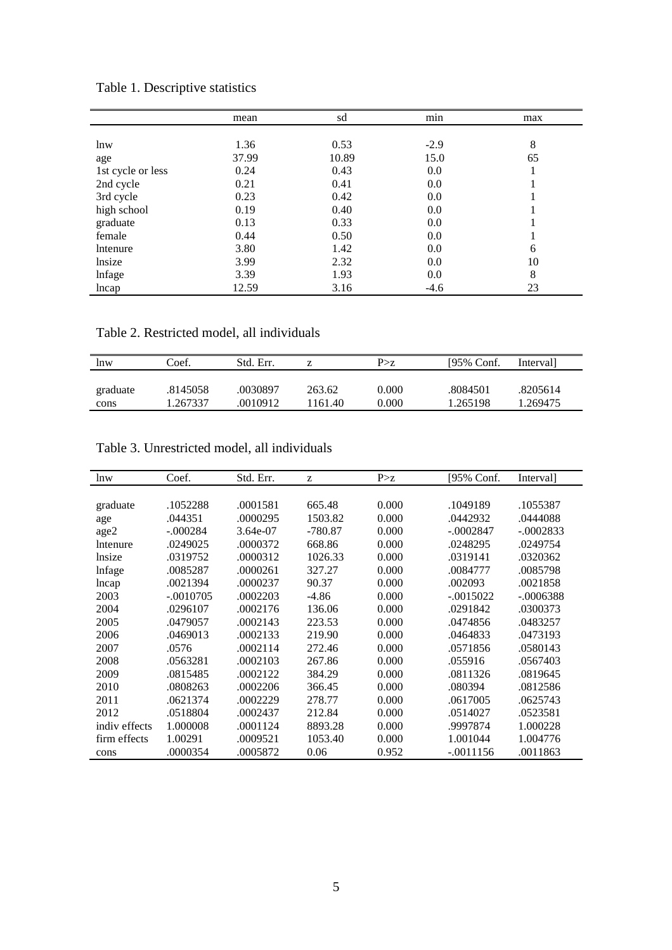|                   | mean  | sd    | min     | max |
|-------------------|-------|-------|---------|-----|
|                   |       |       |         |     |
| lnw               | 1.36  | 0.53  | $-2.9$  | 8   |
| age               | 37.99 | 10.89 | 15.0    | 65  |
| 1st cycle or less | 0.24  | 0.43  | 0.0     |     |
| 2nd cycle         | 0.21  | 0.41  | $0.0\,$ |     |
| 3rd cycle         | 0.23  | 0.42  | $0.0\,$ |     |
| high school       | 0.19  | 0.40  | 0.0     |     |
| graduate          | 0.13  | 0.33  | 0.0     |     |
| female            | 0.44  | 0.50  | 0.0     |     |
| Intenure          | 3.80  | 1.42  | $0.0\,$ | 6   |
| lnsize            | 3.99  | 2.32  | 0.0     | 10  |
| lnfage            | 3.39  | 1.93  | $0.0\,$ | 8   |
| lncap             | 12.59 | 3.16  | $-4.6$  | 23  |

Table 1. Descriptive statistics

Table 2. Restricted model, all individuals

| lnw      | Coef.    | Std. Err. |        | P > z | [95% Conf.] | Intervall |
|----------|----------|-----------|--------|-------|-------------|-----------|
| graduate | .8145058 | 0030897   | 263.62 | 0.000 | .8084501    | .8205614  |
| cons     | 1.267337 | 0010912   | 161.40 | 0.000 | 1.265198    | 1.269475  |

Table 3. Unrestricted model, all individuals

| lnw             | Coef.       | Std. Err. | Z         | P > z | [95% Conf.  | Interval]   |
|-----------------|-------------|-----------|-----------|-------|-------------|-------------|
|                 |             |           |           |       |             |             |
| graduate        | .1052288    | .0001581  | 665.48    | 0.000 | .1049189    | .1055387    |
| age             | .044351     | .0000295  | 1503.82   | 0.000 | .0442932    | .0444088    |
| age2            | $-.000284$  | 3.64e-07  | $-780.87$ | 0.000 | $-.0002847$ | $-.0002833$ |
| <b>Intenure</b> | .0249025    | .0000372  | 668.86    | 0.000 | .0248295    | .0249754    |
| lnsize          | .0319752    | .0000312  | 1026.33   | 0.000 | .0319141    | .0320362    |
| lnfage          | .0085287    | .0000261  | 327.27    | 0.000 | .0084777    | .0085798    |
| lncap           | .0021394    | .0000237  | 90.37     | 0.000 | .002093     | .0021858    |
| 2003            | $-.0010705$ | .0002203  | $-4.86$   | 0.000 | $-.0015022$ | $-.0006388$ |
| 2004            | .0296107    | .0002176  | 136.06    | 0.000 | .0291842    | .0300373    |
| 2005            | .0479057    | .0002143  | 223.53    | 0.000 | .0474856    | .0483257    |
| 2006            | .0469013    | .0002133  | 219.90    | 0.000 | .0464833    | .0473193    |
| 2007            | .0576       | .0002114  | 272.46    | 0.000 | .0571856    | .0580143    |
| 2008            | .0563281    | .0002103  | 267.86    | 0.000 | .055916     | .0567403    |
| 2009            | .0815485    | .0002122  | 384.29    | 0.000 | .0811326    | .0819645    |
| 2010            | .0808263    | .0002206  | 366.45    | 0.000 | .080394     | .0812586    |
| 2011            | .0621374    | .0002229  | 278.77    | 0.000 | .0617005    | .0625743    |
| 2012            | .0518804    | .0002437  | 212.84    | 0.000 | .0514027    | .0523581    |
| indiv effects   | 1.000008    | .0001124  | 8893.28   | 0.000 | .9997874    | 1.000228    |
| firm effects    | 1.00291     | .0009521  | 1053.40   | 0.000 | 1.001044    | 1.004776    |
| cons            | .0000354    | .0005872  | 0.06      | 0.952 | $-.0011156$ | .0011863    |